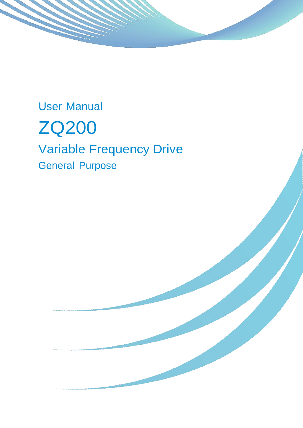User Manual



# Variable Frequency Drive General Purpose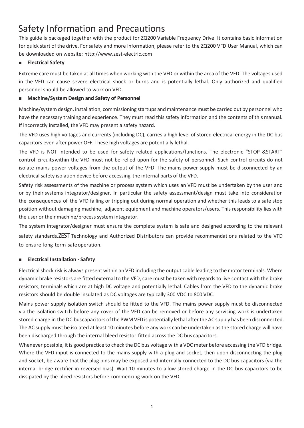## Safety Information and Precautions

This guide is packaged together with the product for ZQ200 Variable Frequency Drive. It contains basic information for quick start of the drive. For safety and more information, please refer to the ZQ200 VFD User Manual, which can be downloaded on website: http://www.zest-electric.com

#### **Electrical Safety**

Extreme care must be taken at all times when working with the VFD or within the area of the VFD. The voltages used in the VFD can cause severe electrical shock or burns and is potentially lethal. Only authorized and qualified personnel should be allowed to work on VFD.

#### **Machine/System Design and Safety of Personnel**

Machine/system design, installation, commissioning startups and maintenance must be carried out by personnel who have the necessary training and experience. They must read this safety information and the contents of this manual. If incorrectly installed, the VFD may present a safety hazard.

The VFD uses high voltages and currents (including DC), carries a high level of stored electrical energy in the DC bus capacitors even after power OFF. These high voltages are potentially lethal.

The VFD is NOT intended to be used for safety related applications/functions. The electronic "STOP &START" control circuitswithin the VFD must not be relied upon for the safety of personnel. Such control circuits do not isolate mains power voltages from the output of the VFD. The mains power supply must be disconnected by an electrical safety isolation device before accessing the internal parts of the VFD.

Safety risk assessments of the machine or process system which uses an VFD must be undertaken by the user and or by their systems integrator/designer. In particular the safety assessment/design must take into consideration the consequences of the VFD failing or tripping out during normal operation and whether this leads to a safe stop position without damaging machine, adjacent equipment and machine operators/users. This responsibility lies with the user or their machine/process system integrator.

The system integrator/designer must ensure the complete system is safe and designed according to the relevant safety standards.ZEST Technology and Authorized Distributors can provide recommendations related to the VFD to ensure long term safeoperation.

#### ■ **Electrical Installation - Safety**

Electrical shock risk is always present within an VFD including the output cable leading to the motor terminals. Where dynamic brake resistors are fitted external to the VFD, care must be taken with regards to live contact with the brake resistors, terminals which are at high DC voltage and potentially lethal. Cables from the VFD to the dynamic brake resistors should be double insulated as DC voltages are typically 300 VDC to 800 VDC.

Mains power supply isolation switch should be fitted to the VFD. The mains power supply must be disconnected via the isolation switch before any cover of the VFD can be removed or before any servicing work is undertaken stored charge in the DC buscapacitors of the PWM VFD is potentially lethal after the AC supply has been disconnected. The AC supply must be isolated at least 10 minutes before any work can be undertaken as the stored charge will have been discharged through the internal bleed resistor fitted across the DC bus capacitors.

Whenever possible, it is good practice to check the DC bus voltage with a VDC meter before accessing the VFD bridge. Where the VFD input is connected to the mains supply with a plug and socket, then upon disconnecting the plug and socket, be aware that the plug pins may be exposed and internally connected to the DC bus capacitors (via the internal bridge rectifier in reversed bias). Wait 10 minutes to allow stored charge in the DC bus capacitors to be dissipated by the bleed resistors before commencing work on the VFD.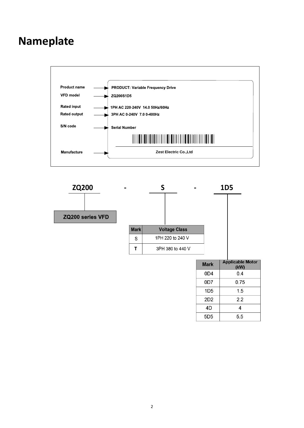## **Nameplate**





| <b>Mark</b>     | <b>Applicable Motor</b><br>(kW) |
|-----------------|---------------------------------|
| 0D4             | 04                              |
| 0D7             | 0.75                            |
| 1D5             | 1.5                             |
| 2D2             | 2.2                             |
| 4D              | 4                               |
| 5D <sub>5</sub> | 5.5                             |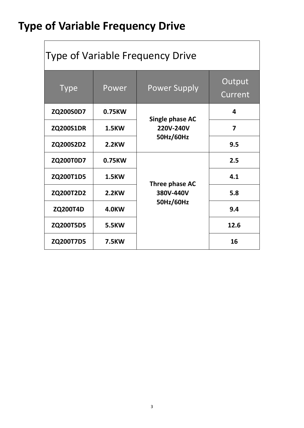# **Type of Variable Frequency Drive**

| <b>Type of Variable Frequency Drive</b> |              |                                                  |                         |  |  |  |
|-----------------------------------------|--------------|--------------------------------------------------|-------------------------|--|--|--|
| <b>Type</b>                             | Power        | <b>Power Supply</b>                              | Output<br>Current       |  |  |  |
| ZQ200S0D7                               | 0.75KW       |                                                  | 4                       |  |  |  |
| <b>ZQ200S1DR</b>                        | <b>1.5KW</b> | <b>Single phase AC</b><br>220V-240V<br>50Hz/60Hz | $\overline{\mathbf{z}}$ |  |  |  |
| ZQ200S2D2                               | <b>2.2KW</b> |                                                  | 9.5                     |  |  |  |
| ZQ200T0D7                               | 0.75KW       |                                                  | 2.5                     |  |  |  |
| ZQ200T1D5                               | <b>1.5KW</b> | Three phase AC                                   | 4.1                     |  |  |  |
| ZQ200T2D2                               | <b>2.2KW</b> | 380V-440V                                        | 5.8                     |  |  |  |
| <b>ZQ200T4D</b>                         | <b>4.0KW</b> | 50Hz/60Hz                                        | 9.4                     |  |  |  |
| ZQ200T5D5                               | <b>5.5KW</b> |                                                  | 12.6                    |  |  |  |
| ZQ200T7D5                               | <b>7.5KW</b> |                                                  | 16                      |  |  |  |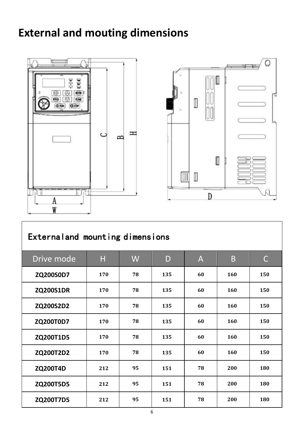# **External and mouting dimensions**





## Externaland mounting dimensions

| Drive mode       | H   | W  | D   | A  | B   | C   |
|------------------|-----|----|-----|----|-----|-----|
| ZQ200S0D7        | 170 | 78 | 135 | 60 | 160 | 150 |
| <b>ZQ200S1DR</b> | 170 | 78 | 135 | 60 | 160 | 150 |
| ZQ200S2D2        | 170 | 78 | 135 | 60 | 160 | 150 |
| <b>ZQ200T0D7</b> | 170 | 78 | 135 | 60 | 160 | 150 |
| ZQ200T1D5        | 170 | 78 | 135 | 60 | 160 | 150 |
| ZQ200T2D2        | 170 | 78 | 135 | 60 | 160 | 150 |
| <b>ZQ200T4D</b>  | 212 | 95 | 151 | 78 | 200 | 180 |
| ZQ200T5D5        | 212 | 95 | 151 | 78 | 200 | 180 |
| ZQ200T7D5        | 212 | 95 | 151 | 78 | 200 | 180 |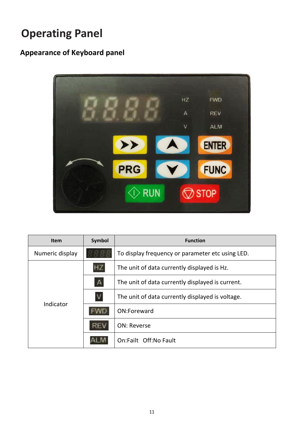# **Operating Panel**

### **Appearance of Keyboard panel**



| <b>Item</b>     | Symbol       | <b>Function</b>                                  |  |  |  |
|-----------------|--------------|--------------------------------------------------|--|--|--|
| Numeric display |              | To display frequency or parameter etc using LED. |  |  |  |
|                 |              | The unit of data currently displayed is Hz.      |  |  |  |
| Indicator       | $\mathsf{A}$ | The unit of data currently displayed is current. |  |  |  |
|                 |              | The unit of data currently displayed is voltage. |  |  |  |
|                 |              | ON:Foreward                                      |  |  |  |
|                 |              | <b>ON: Reverse</b>                               |  |  |  |
|                 |              | On:Failt Off:No Fault                            |  |  |  |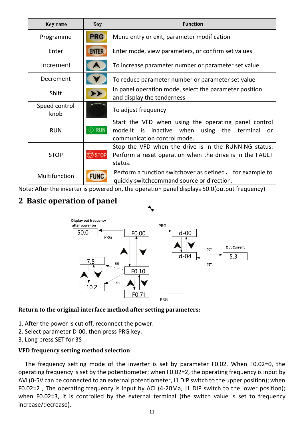| Key name              | Key             | <b>Function</b>                                                                                                                             |  |  |
|-----------------------|-----------------|---------------------------------------------------------------------------------------------------------------------------------------------|--|--|
| Programme             | <b>PRG</b>      | Menu entry or exit, parameter modification                                                                                                  |  |  |
| Enter                 | <b>ENTER</b>    | Enter mode, view parameters, or confirm set values.                                                                                         |  |  |
| Increment             |                 | To increase parameter number or parameter set value                                                                                         |  |  |
| Decrement             |                 | To reduce parameter number or parameter set value                                                                                           |  |  |
| Shift                 | ▶▶              | In panel operation mode, select the parameter position<br>and display the tenderness                                                        |  |  |
| Speed control<br>knob |                 | To adjust frequency                                                                                                                         |  |  |
| <b>RUN</b>            | <b>RUN</b>      | Start the VFD when using the operating panel control<br>mode.It is<br>inactive when using the terminal<br>or<br>communication control mode. |  |  |
| <b>STOP</b>           | $\bigcirc$ stop | Stop the VFD when the drive is in the RUNNING status.<br>Perform a reset operation when the drive is in the FAULT<br>status.                |  |  |
| Multifunction         | <b>FUNC</b>     | Perform a function switchover as defined, for example to<br>quickly switchcommand source or direction.                                      |  |  |

Note: After the inverter is powered on, the operation panel displays 50.0(output frequency)

### **2 Basic operation of panel**



#### **Return to the original interface method after setting parameters:**

- 1. After the power is cut off, reconnect the power.
- 2. Select parameter D-00, then press PRG key.
- 3. Long press SET for 3S

#### **VFD frequency setting method selection**

The frequency setting mode of the inverter is set by parameter F0.02. When F0.02=0, the operating frequency is set by the potentiometer; when F0.02=2, the operating frequency is input by AVI (0-5V can be connected to an external potentiometer, J1 DIP switch to the upper position); when F0.02=2 , The operating frequency is input by ACI (4-20Ma, J1 DIP switch to the lower position); when F0.02=3, it is controlled by the external terminal (the switch value is set to frequency increase/decrease).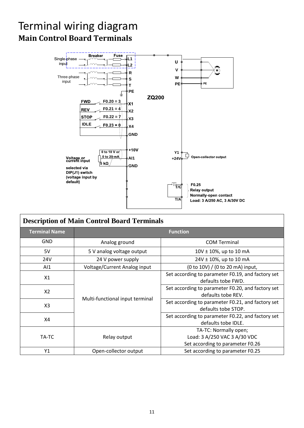## Terminal wiring diagram **Main Control Board Terminals**



| <b>Description of Main Control Board Terminals</b> |                                 |                                                                                           |  |  |
|----------------------------------------------------|---------------------------------|-------------------------------------------------------------------------------------------|--|--|
| <b>Terminal Name</b>                               |                                 | <b>Function</b>                                                                           |  |  |
| <b>GND</b>                                         | Analog ground                   | <b>COM Terminal</b>                                                                       |  |  |
| 5V                                                 | 5 V analog voltage output       | 10V ± 10%, up to 10 mA                                                                    |  |  |
| 24V                                                | 24 V power supply               | 24V ± 10%, up to 10 mA                                                                    |  |  |
| AI                                                 | Voltage/Current Analog input    | (0 to 10V) / (0 to 20 mA) input,                                                          |  |  |
| X1<br>X <sub>2</sub>                               | Multi-functional input terminal | Set according to parameter F0.19, and factory set<br>defaults tobe FWD.                   |  |  |
|                                                    |                                 | Set according to parameter F0.20, and factory set<br>defaults tobe REV.                   |  |  |
| X <sub>3</sub>                                     |                                 | Set according to parameter F0.21, and factory set<br>defaults tobe STOP.                  |  |  |
| X4                                                 |                                 | Set according to parameter F0.22, and factory set<br>defaults tobe IDLE.                  |  |  |
| TA-TC                                              | Relay output                    | TA-TC: Normally open;<br>Load: 3 A/250 VAC 3 A/30 VDC<br>Set according to parameter F0.26 |  |  |
| Y1                                                 | Open-collector output           | Set according to parameter F0.25                                                          |  |  |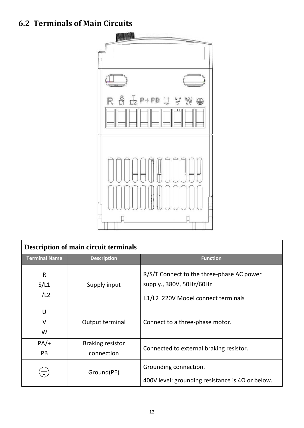### **6.2 Terminals of Main Circuits**



|                              | <b>Description of main circuit terminals</b> |                                                                                                             |  |  |  |  |
|------------------------------|----------------------------------------------|-------------------------------------------------------------------------------------------------------------|--|--|--|--|
| <b>Terminal Name</b>         | <b>Description</b>                           | <b>Function</b>                                                                                             |  |  |  |  |
| $\mathsf{R}$<br>S/L1<br>T/L2 | Supply input                                 | R/S/T Connect to the three-phase AC power<br>supply., 380V, 50Hz/60Hz<br>L1/L2 220V Model connect terminals |  |  |  |  |
| U<br>$\vee$<br>W             | Output terminal                              | Connect to a three-phase motor.                                                                             |  |  |  |  |
| $PA/+$<br>PB                 | <b>Braking resistor</b><br>connection        | Connected to external braking resistor.                                                                     |  |  |  |  |
|                              | Ground(PE)                                   | Grounding connection.<br>400V level: grounding resistance is $4\Omega$ or below.                            |  |  |  |  |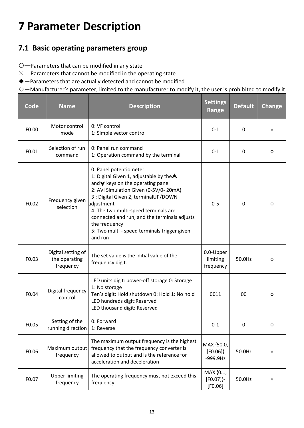# **7 Parameter Description**

### **7.1 Basic operating parameters group**

- ○—Parameters that can be modified in any state
- $\times$ —Parameters that cannot be modified in the operating state
- ◆—Parameters that are actually detected and cannot be modified
- $\diamondsuit$  —Manufacturer's parameter, limited to the manufacturer to modify it, the user is prohibited to modify it

| Code  | <b>Name</b>                                      | <b>Description</b>                                                                                                                                                                                                                                                                                                                                                                      | <b>Settings</b><br>Range              | <b>Default</b> | <b>Change</b> |
|-------|--------------------------------------------------|-----------------------------------------------------------------------------------------------------------------------------------------------------------------------------------------------------------------------------------------------------------------------------------------------------------------------------------------------------------------------------------------|---------------------------------------|----------------|---------------|
| F0.00 | Motor control<br>mode                            | 0: VF control<br>1: Simple vector control                                                                                                                                                                                                                                                                                                                                               | $0 - 1$                               | 0              | $\times$      |
| F0.01 | Selection of run<br>command                      | 0: Panel run command<br>1: Operation command by the terminal                                                                                                                                                                                                                                                                                                                            | $0 - 1$                               | 0              | O             |
| F0.02 | Frequency given<br>selection                     | 0: Panel potentiometer<br>1: Digital Given 1, adjustable by the $\blacktriangle$<br>and∀ keys on the operating panel<br>2: AVI Simulation Given (0-5V/0-20mA)<br>3 : Digital Given 2, terminalUP/DOWN<br>adjustment<br>4: The two multi-speed terminals are<br>connected and run, and the terminals adjusts<br>the frequency<br>5: Two multi - speed terminals trigger given<br>and run | $0 - 5$                               | $\mathbf{0}$   | O             |
| F0.03 | Digital setting of<br>the operating<br>frequency | The set value is the initial value of the<br>frequency digit.                                                                                                                                                                                                                                                                                                                           | 0.0-Upper<br>limiting<br>frequency    | 50.0Hz         | O             |
| F0.04 | Digital frequency<br>control                     | LED units digit: power-off storage 0: Storage<br>1: No storage<br>Ten's digit: Hold shutdown 0: Hold 1: No hold<br>LED hundreds digit:Reserved<br>LED thousand digit: Reserved                                                                                                                                                                                                          | 0011                                  | 00             | $\circ$       |
| F0.05 | Setting of the<br>running direction 1: Reverse   | 0: Forward                                                                                                                                                                                                                                                                                                                                                                              | $0 - 1$                               | O.             |               |
| F0.06 | Maximum output<br>frequency                      | The maximum output frequency is the highest<br>frequency that the frequency converter is<br>allowed to output and is the reference for<br>acceleration and deceleration                                                                                                                                                                                                                 | MAX {50.0,<br>$[FO.06]\}$<br>-999.9Hz | 50.0Hz         | ×             |
| F0.07 | <b>Upper limiting</b><br>frequency               | The operating frequency must not exceed this<br>frequency.                                                                                                                                                                                                                                                                                                                              | MAX {0.1,<br>[FO.07]<br>$[FO.06]$     | 50.0Hz         | ×             |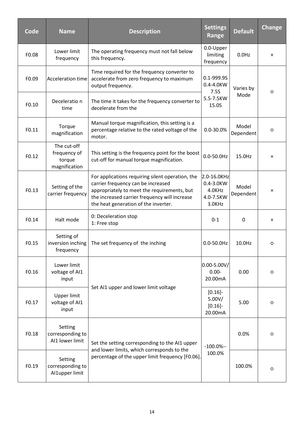| Code  | <b>Name</b>                                            | <b>Description</b>                                                                                                                                                                                                             | <b>Settings</b><br>Range                                  | <b>Default</b>     | <b>Change</b> |
|-------|--------------------------------------------------------|--------------------------------------------------------------------------------------------------------------------------------------------------------------------------------------------------------------------------------|-----------------------------------------------------------|--------------------|---------------|
| F0.08 | Lower limit<br>frequency                               | The operating frequency must not fall below<br>this frequency.                                                                                                                                                                 | 0.0-Upper<br>limiting<br>frequency                        | $0.0$ Hz           | ×             |
| F0.09 | <b>Acceleration time</b>                               | Time required for the frequency converter to<br>accelerate from zero frequency to maximum<br>output frequency.                                                                                                                 | 0.1-999.9S<br>0.4-4.0KW<br>7.5S                           | Varies by          | O             |
| F0.10 | Deceleratio n<br>time                                  | The time it takes for the frequency converter to<br>decelerate from the                                                                                                                                                        | 5.5-7.5KW<br>15.0S                                        | Mode               |               |
| F0.11 | Torque<br>magnification                                | Manual torque magnification, this setting is a<br>percentage relative to the rated voltage of the<br>motor.                                                                                                                    | 0.0-30.0%                                                 | Model<br>Dependent | O             |
| F0.12 | The cut-off<br>frequency of<br>torque<br>magnification | This setting is the frequency point for the boost<br>cut-off for manual torque magnification.                                                                                                                                  | $0.0 - 50.0$ Hz                                           | 15.0Hz             | ×             |
| F0.13 | Setting of the<br>carrier frequency                    | For applications requiring silent operation, the<br>carrier frequency can be increased<br>appropriately to meet the requirements, but<br>the increased carrier frequency will increase<br>the heat generation of the inverter. | 2.0-16.0KHz<br>0.4-3.0KW<br>4.0KHz<br>4.0-7.5KW<br>3.0KHz | Model<br>Dependent | ×             |
| F0.14 | Halt mode                                              | 0: Deceleration stop<br>1: Free stop                                                                                                                                                                                           | $0 - 1$                                                   | 0                  | ×             |
| F0.15 | Setting of<br>inversion inching<br>frequency           | The set frequency of the inching                                                                                                                                                                                               | $0.0 - 50.0$ Hz                                           | 10.0Hz             | O             |
| F0.16 | Lower limit<br>voltage of AI1<br>input                 |                                                                                                                                                                                                                                | $0.00 - 5.00V/$<br>$0.00 -$<br>20.00mA                    | 0.00               | O             |
| F0.17 | <b>Upper limit</b><br>voltage of AI1<br>input          | Set AI1 upper and lower limit voltage                                                                                                                                                                                          | $[0.16]$ -<br>5.00V/<br>$[0.16]$ -<br>20.00mA             | 5.00               | O             |
| F0.18 | Setting<br>corresponding to<br>AI1 lower limit         | Set the setting corresponding to the AI1 upper                                                                                                                                                                                 | $-100.0\% -$                                              | 0.0%               | O             |
| F0.19 | Setting<br>corresponding to<br>Al1upper limit          | and lower limits, which corresponds to the<br>percentage of the upper limit frequency [F0.06].                                                                                                                                 | 100.0%                                                    | 100.0%             | O             |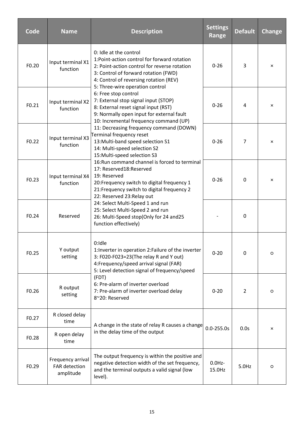| Code  | <b>Name</b>                                     | <b>Description</b>                                                                                                                                                                                                                                                                                                                                              | <b>Settings</b><br><b>Range</b> | <b>Default</b> | <b>Change</b> |
|-------|-------------------------------------------------|-----------------------------------------------------------------------------------------------------------------------------------------------------------------------------------------------------------------------------------------------------------------------------------------------------------------------------------------------------------------|---------------------------------|----------------|---------------|
| F0.20 | Input terminal X1<br>function                   | 0: Idle at the control<br>1:Point-action control for forward rotation<br>2: Point-action control for reverse rotation<br>3: Control of forward rotation (FWD)<br>4: Control of reversing rotation (REV)                                                                                                                                                         | $0 - 26$                        | 3              | $\times$      |
| F0.21 | Input terminal X2<br>function                   | 5: Three-wire operation control<br>6: Free stop control<br>7: External stop signal input (STOP)<br>8: External reset signal input (RST)<br>9: Normally open input for external fault<br>10: Incremental frequency command (UP)                                                                                                                                  | $0 - 26$                        | 4              | ×             |
| F0.22 | Input terminal X3<br>function                   | 11: Decreasing frequency command (DOWN)<br>Terminal frequency reset<br>13: Multi-band speed selection S1<br>14: Multi-speed selection S2<br>15: Multi-speed selection S3                                                                                                                                                                                        | $0 - 26$                        | 7              | ×             |
| F0.23 | Input terminal X4<br>function                   | 16: Run command channel is forced to terminal<br>17: Reserved18:Reserved<br>19: Reserved<br>20: Frequency switch to digital frequency 1<br>21: Frequency switch to digital frequency 2<br>22: Reserved 23: Relay out<br>24: Select Multi-Speed 1 and run<br>25: Select Multi-Speed 2 and run<br>26: Multi-Speed stop(Only for 24 and25<br>function effectively) | $0 - 26$                        | $\Omega$       | ×             |
| F0.24 | Reserved                                        |                                                                                                                                                                                                                                                                                                                                                                 |                                 | 0              |               |
| F0.25 | Y output<br>setting                             | 0:Idle<br>1: Inverter in operation 2: Failure of the inverter<br>3: F020-F023=23(The relay R and Y out)<br>4: Frequency/speed arrival signal (FAR)<br>5: Level detection signal of frequency/speed<br>(FDT)<br>6: Pre-alarm of inverter overload<br>7: Pre-alarm of inverter overload delay<br>8~20: Reserved                                                   | $0 - 20$                        | 0              | O             |
| F0.26 | R output<br>setting                             |                                                                                                                                                                                                                                                                                                                                                                 | $0 - 20$                        | $\overline{2}$ | O             |
| F0.27 | R closed delay<br>time                          | A change in the state of relay R causes a change                                                                                                                                                                                                                                                                                                                |                                 |                |               |
| F0.28 | R open delay<br>time                            | in the delay time of the output                                                                                                                                                                                                                                                                                                                                 | $0.0 - 255.0s$                  | 0.0s           | ×             |
| F0.29 | Frequency arrival<br>FAR detection<br>amplitude | The output frequency is within the positive and<br>negative detection width of the set frequency,<br>and the terminal outputs a valid signal (low<br>level).                                                                                                                                                                                                    | $0.0$ Hz-<br>15.0Hz             | 5.0Hz          | O             |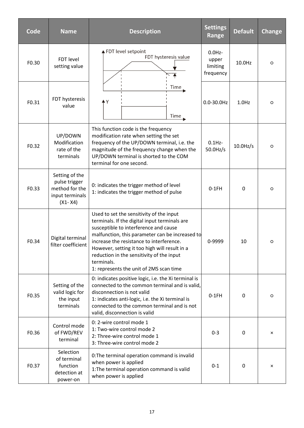| Code  | <b>Name</b>                                                                         | <b>Description</b>                                                                                                                                                                                                                                                                                                                                                                       | <b>Settings</b><br>Range                    | <b>Default</b> | <b>Change</b> |
|-------|-------------------------------------------------------------------------------------|------------------------------------------------------------------------------------------------------------------------------------------------------------------------------------------------------------------------------------------------------------------------------------------------------------------------------------------------------------------------------------------|---------------------------------------------|----------------|---------------|
| F0.30 | FDT level<br>setting value                                                          | FDT level setpoint<br>FDT hysteresis value                                                                                                                                                                                                                                                                                                                                               | $0.0$ Hz-<br>upper<br>limiting<br>frequency | 10.0Hz         | $\circ$       |
| F0.31 | FDT hysteresis<br>value                                                             | Time<br>۰Y<br>Time                                                                                                                                                                                                                                                                                                                                                                       | $0.0 - 30.0$ Hz                             | $1.0$ Hz       | $\circ$       |
| F0.32 | UP/DOWN<br>Modification<br>rate of the<br>terminals                                 | This function code is the frequency<br>modification rate when setting the set<br>frequency of the UP/DOWN terminal, i.e. the<br>magnitude of the frequency change when the<br>UP/DOWN terminal is shorted to the COM<br>terminal for one second.                                                                                                                                         | $0.1$ Hz-<br>$50.0$ Hz/s                    | $10.0$ Hz/s    | $\circ$       |
| F0.33 | Setting of the<br>pulse trigger<br>method for the<br>input terminals<br>$(X1 - X4)$ | 0: indicates the trigger method of level<br>1: indicates the trigger method of pulse                                                                                                                                                                                                                                                                                                     | $0-1FH$                                     | $\mathbf 0$    | $\circ$       |
| F0.34 | Digital terminal<br>filter coefficient                                              | Used to set the sensitivity of the input<br>terminals. If the digital input terminals are<br>susceptible to interference and cause<br>malfunction, this parameter can be increased to<br>increase the resistance to interference.<br>However, setting it too high will result in a<br>reduction in the sensitivity of the input<br>terminals.<br>1: represents the unit of 2MS scan time | 0-9999                                      | 10             | $\circ$       |
| F0.35 | Setting of the<br>valid logic for<br>the input<br>terminals                         | 0: indicates positive logic, i.e. the Xi terminal is<br>connected to the common terminal and is valid,<br>disconnection is not valid<br>1: indicates anti-logic, i.e. the Xi terminal is<br>connected to the common terminal and is not<br>valid, disconnection is valid                                                                                                                 | $0-1FH$                                     | 0              | O             |
| F0.36 | Control mode<br>of FWD/REV<br>terminal                                              | 0: 2-wire control mode 1<br>1: Two-wire control mode 2<br>2: Three-wire control mode 1<br>3: Three-wire control mode 2                                                                                                                                                                                                                                                                   | $0 - 3$                                     | 0              | $\times$      |
| F0.37 | Selection<br>of terminal<br>function<br>detection at<br>power-on                    | 0: The terminal operation command is invalid<br>when power is applied<br>1: The terminal operation command is valid<br>when power is applied                                                                                                                                                                                                                                             | $0 - 1$                                     | 0              | $\times$      |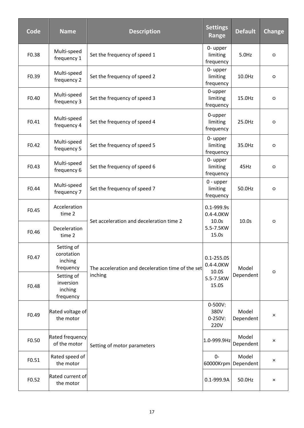| Code  | <b>Name</b>                                      | <b>Description</b>                                | <b>Settings</b><br>Range                   | <b>Default</b>               | <b>Change</b>  |
|-------|--------------------------------------------------|---------------------------------------------------|--------------------------------------------|------------------------------|----------------|
| F0.38 | Multi-speed<br>frequency 1                       | Set the frequency of speed 1                      | 0- upper<br>limiting<br>frequency          | 5.0Hz                        | $\circ$        |
| F0.39 | Multi-speed<br>frequency 2                       | Set the frequency of speed 2                      | 0- upper<br>limiting<br>frequency          | 10.0Hz                       | $\circ$        |
| F0.40 | Multi-speed<br>frequency 3                       | Set the frequency of speed 3                      | 0-upper<br>limiting<br>frequency           | 15.0Hz                       | $\circ$        |
| F0.41 | Multi-speed<br>frequency 4                       | Set the frequency of speed 4                      | 0-upper<br>limiting<br>frequency           | 25.0Hz                       | $\circ$        |
| F0.42 | Multi-speed<br>frequency 5                       | Set the frequency of speed 5                      | 0- upper<br>limiting<br>frequency          | 35.0Hz                       | $\circ$        |
| F0.43 | Multi-speed<br>frequency 6                       | Set the frequency of speed 6                      | 0- upper<br>limiting<br>frequency          | 45Hz                         | $\circ$        |
| F0.44 | Multi-speed<br>frequency 7                       | Set the frequency of speed 7                      | 0 - upper<br>limiting<br>frequency         | 50.0Hz                       | $\circ$        |
| F0.45 | Acceleration<br>time 2                           | Set acceleration and deceleration time 2          | 0.1-999.9s<br>0.4-4.0KW<br>10.0s           | 10.0s                        | $\circ$        |
| F0.46 | Deceleration<br>time 2                           |                                                   | 5.5-7.5KW<br>15.0s                         |                              |                |
| F0.47 | Setting of<br>corotation<br>inching<br>frequency | The acceleration and deceleration time of the set | $0.1 - 255.0S$<br>0.4-4.0KW<br>10.0S       | Model                        | $\circ$        |
| F0.48 | Setting of<br>inversion<br>inching<br>frequency  | inching                                           | 5.5-7.5KW<br>15.0S                         | Dependent                    |                |
| F0.49 | Rated voltage of<br>the motor                    |                                                   | $0 - 500V:$<br>380V<br>$0 - 250V:$<br>220V | Model<br>Dependent           | $\pmb{\times}$ |
| F0.50 | Rated frequency<br>of the motor                  | Setting of motor parameters                       | 1.0-999.9Hz                                | Model<br>Dependent           | $\pmb{\times}$ |
| F0.51 | Rated speed of<br>the motor                      |                                                   | $0-$                                       | Model<br>60000Krpm Dependent | $\pmb{\times}$ |
| F0.52 | Rated current of<br>the motor                    |                                                   | 0.1-999.9A                                 | 50.0Hz                       | $\pmb{\times}$ |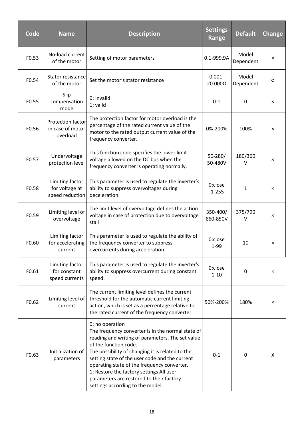| Code  | <b>Name</b>                                              | <b>Description</b>                                                                                                                                                                                                                                                                                                                                                                                                                 | <b>Settings</b><br>Range | <b>Default</b>     | <b>Change</b> |
|-------|----------------------------------------------------------|------------------------------------------------------------------------------------------------------------------------------------------------------------------------------------------------------------------------------------------------------------------------------------------------------------------------------------------------------------------------------------------------------------------------------------|--------------------------|--------------------|---------------|
| F0.53 | No-load current<br>of the motor                          | Setting of motor parameters                                                                                                                                                                                                                                                                                                                                                                                                        | 0.1-999.9A               | Model<br>Dependent | ×             |
| F0.54 | <b>Stator resistance</b><br>of the motor                 | Set the motor's stator resistance                                                                                                                                                                                                                                                                                                                                                                                                  | $0.001 -$<br>20.000Ω     | Model<br>Dependent | O             |
| F0.55 | Slip<br>compensation<br>mode                             | 0: Invalid<br>1: valid                                                                                                                                                                                                                                                                                                                                                                                                             | $0 - 1$                  | 0                  | ×             |
| F0.56 | <b>Protection factor</b><br>in case of motor<br>overload | The protection factor for motor overload is the<br>percentage of the rated current value of the<br>motor to the rated output current value of the<br>frequency converter.                                                                                                                                                                                                                                                          | 0%-200%                  | 100%               | ×             |
| F0.57 | Undervoltage<br>protection level                         | This function code specifies the lower limit<br>voltage allowed on the DC bus when the<br>frequency converter is operating normally.                                                                                                                                                                                                                                                                                               | $50 - 280/$<br>50-480V   | 180/360<br>v       | ×             |
| F0.58 | Limiting factor<br>for voltage at<br>speed reduction     | This parameter is used to regulate the inverter's<br>ability to suppress overvoltages during<br>deceleration.                                                                                                                                                                                                                                                                                                                      | 0:close<br>$1 - 255$     | 1                  | ×             |
| F0.59 | Limiting level of<br>overvoltage                         | The limit level of overvoltage defines the action<br>voltage in case of protection due to overvoltage<br>stall                                                                                                                                                                                                                                                                                                                     | 350-400/<br>660-850V     | 375/790<br>v       | ×             |
| F0.60 | Limiting factor<br>for accelerating<br>current           | This parameter is used to regulate the ability of<br>the frequency converter to suppress<br>overcurrents during acceleration.                                                                                                                                                                                                                                                                                                      | 0:close<br>1-99          | 10                 | ×             |
| F0.61 | Limiting factor<br>for constant<br>speed currents        | This parameter is used to regulate the inverter's<br>ability to suppress overcurrent during constant<br>speed.                                                                                                                                                                                                                                                                                                                     | 0:close<br>$1 - 10$      | 0                  | ×             |
| F0.62 | Limiting level of<br>current                             | The current limiting level defines the current<br>threshold for the automatic current limiting<br>action, which is set as a percentage relative to<br>the rated current of the frequency converter.                                                                                                                                                                                                                                | 50%-200%                 | 180%               | ×             |
| F0.63 | Initialization of<br>parameters                          | 0: no operation<br>The frequency converter is in the normal state of<br>reading and writing of parameters. The set value<br>of the function code.<br>The possibility of changing it is related to the<br>setting state of the user code and the current<br>operating state of the frequency converter.<br>1: Restore the factory settings All user<br>parameters are restored to their factory<br>settings according to the model. | $0 - 1$                  | 0                  | X             |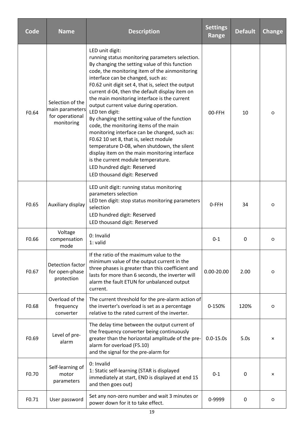| Code  | <b>Name</b>                                                          | <b>Description</b>                                                                                                                                                                                                                                                                                                                                                                                                                                                                                                                                                                                                                                                                                                                                                                                                          | <b>Settings</b><br>Range | <b>Default</b> | <b>Change</b> |
|-------|----------------------------------------------------------------------|-----------------------------------------------------------------------------------------------------------------------------------------------------------------------------------------------------------------------------------------------------------------------------------------------------------------------------------------------------------------------------------------------------------------------------------------------------------------------------------------------------------------------------------------------------------------------------------------------------------------------------------------------------------------------------------------------------------------------------------------------------------------------------------------------------------------------------|--------------------------|----------------|---------------|
| F0.64 | Selection of the<br>main parameters<br>for operational<br>monitoring | LED unit digit:<br>running status monitoring parameters selection.<br>By changing the setting value of this function<br>code, the monitoring item of the ainmonitoring<br>interface can be changed, such as:<br>F0.62 unit digit set 4, that is, select the output<br>current d-04, then the default display item on<br>the main monitoring interface is the current<br>output current value during operation.<br>LED ten digit:<br>By changing the setting value of the function<br>code, the monitoring items of the main<br>monitoring interface can be changed, such as:<br>F0.62 10 set 8, that is, select module<br>temperature D-08, when shutdown, the silent<br>display item on the main monitoring interface<br>is the current module temperature.<br>LED hundred digit: Reserved<br>LED thousand digit: Reserved | 00-FFH                   | 10             | O             |
| F0.65 | Auxiliary display                                                    | LED unit digit: running status monitoring<br>parameters selection<br>LED ten digit: stop status monitoring parameters<br>selection<br>LED hundred digit: Reserved<br>LED thousand digit: Reserved                                                                                                                                                                                                                                                                                                                                                                                                                                                                                                                                                                                                                           | 0-FFH                    | 34             | O             |
| F0.66 | Voltage<br>compensation<br>mode                                      | 0: Invalid<br>1: valid                                                                                                                                                                                                                                                                                                                                                                                                                                                                                                                                                                                                                                                                                                                                                                                                      | $0 - 1$                  | 0              | O             |
| F0.67 | Detection factor<br>for open-phase<br>protection                     | If the ratio of the maximum value to the<br>minimum value of the output current in the<br>three phases is greater than this coefficient and<br>lasts for more than 6 seconds, the inverter will<br>alarm the fault ETUN for unbalanced output<br>current.                                                                                                                                                                                                                                                                                                                                                                                                                                                                                                                                                                   | $0.00 - 20.00$           | 2.00           | O             |
| F0.68 | Overload of the<br>frequency<br>converter                            | The current threshold for the pre-alarm action of<br>the inverter's overload is set as a percentage<br>relative to the rated current of the inverter.                                                                                                                                                                                                                                                                                                                                                                                                                                                                                                                                                                                                                                                                       | 0-150%                   | 120%           | O             |
| F0.69 | Level of pre-<br>alarm                                               | The delay time between the output current of<br>the frequency converter being continuously<br>greater than the horizontal amplitude of the pre-<br>alarm for overload (F5.10)<br>and the signal for the pre-alarm for                                                                                                                                                                                                                                                                                                                                                                                                                                                                                                                                                                                                       | $0.0 - 15.0s$            | 5.0s           | ×             |
| F0.70 | Self-learning of<br>motor<br>parameters                              | 0: Invalid<br>1: Static self-learning (STAR is displayed<br>immediately at start, END is displayed at end 1S<br>and then goes out)                                                                                                                                                                                                                                                                                                                                                                                                                                                                                                                                                                                                                                                                                          | $0 - 1$                  | $\Omega$       | ×             |
| F0.71 | User password                                                        | Set any non-zero number and wait 3 minutes or<br>power down for it to take effect.                                                                                                                                                                                                                                                                                                                                                                                                                                                                                                                                                                                                                                                                                                                                          | 0-9999                   | 0              | O             |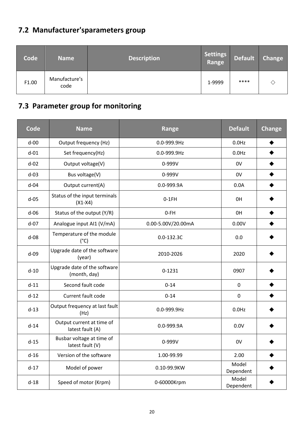### **7.2 Manufacturer'sparameters group**

| <b>Code</b> | <b>Name</b>           | <b>Description</b> | <b>Settings</b><br>Range | <b>Default</b> | <b>Change</b> |
|-------------|-----------------------|--------------------|--------------------------|----------------|---------------|
| F1.00       | Manufacture's<br>code |                    | 1-9999                   | ****           |               |

### **7.3 Parameter group for monitoring**

| <b>Code</b> | <b>Name</b>                                   | Range              | <b>Default</b>     | <b>Change</b> |
|-------------|-----------------------------------------------|--------------------|--------------------|---------------|
| $d-00$      | Output frequency (Hz)                         | 0.0-999.9Hz        | $0.0$ Hz           |               |
| $d-01$      | Set frequency(Hz)                             | 0.0-999.9Hz        | $0.0$ Hz           |               |
| $d-02$      | Output voltage(V)                             | 0-999V             | 0V                 |               |
| $d-03$      | Bus voltage(V)                                | 0-999V             | 0V                 |               |
| $d-04$      | Output current(A)                             | 0.0-999.9A         | 0.0A               |               |
| $d-05$      | Status of the input terminals<br>$(X1-X4)$    | $0-1FH$            | 0H                 |               |
| $d-06$      | Status of the output (Y/R)                    | $0-FH$             | 0H                 |               |
| $d-07$      | Analogue input AI1 (V/mA)                     | 0.00-5.00V/20.00mA | 0.00V              |               |
| $d-08$      | Temperature of the module<br>$(^{\circ}C)$    | $0.0 - 132.3C$     | 0.0                |               |
| $d-09$      | Upgrade date of the software<br>(year)        | 2010-2026          | 2020               |               |
| $d-10$      | Upgrade date of the software<br>(month, day)  | $0 - 1231$         | 0907               |               |
| $d-11$      | Second fault code                             | $0 - 14$           | 0                  |               |
| $d-12$      | Current fault code                            | $0 - 14$           | 0                  |               |
| $d-13$      | Output frequency at last fault<br>(Hz)        | 0.0-999.9Hz        | $0.0$ Hz           |               |
| $d-14$      | Output current at time of<br>latest fault (A) | 0.0-999.9A         | 0.0V               |               |
| $d-15$      | Busbar voltage at time of<br>latest fault (V) | 0-999V             | 0V                 |               |
| $d-16$      | Version of the software                       | 1.00-99.99         | 2.00               |               |
| $d-17$      | Model of power                                | 0.10-99.9KW        | Model<br>Dependent |               |
| $d-18$      | Speed of motor (Krpm)                         | 0-60000Krpm        | Model<br>Dependent |               |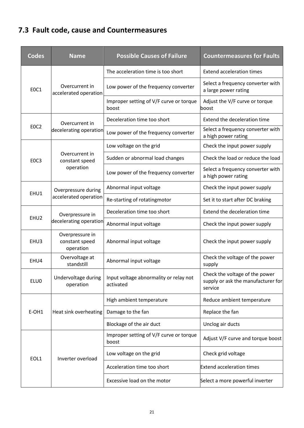### **7.3 Fault code, cause and Countermeasures**

| <b>Codes</b>     | <b>Name</b>                                    | <b>Possible Causes of Failure</b>                   | <b>Countermeasures for Faults</b>                                               |  |
|------------------|------------------------------------------------|-----------------------------------------------------|---------------------------------------------------------------------------------|--|
|                  |                                                | The acceleration time is too short                  | <b>Extend acceleration times</b>                                                |  |
| EOC1             | Overcurrent in<br>accelerated operation        | Low power of the frequency converter                | Select a frequency converter with<br>a large power rating                       |  |
|                  |                                                | Improper setting of V/F curve or torque<br>boost    | Adjust the V/F curve or torque<br>boost                                         |  |
|                  | Overcurrent in                                 | Deceleration time too short                         | Extend the deceleration time                                                    |  |
| EOC <sub>2</sub> | decelerating operation                         | Low power of the frequency converter                | Select a frequency converter with<br>a high power rating                        |  |
|                  | Overcurrent in<br>constant speed               | Low voltage on the grid                             | Check the input power supply                                                    |  |
| EOC3             |                                                | Sudden or abnormal load changes                     | Check the load or reduce the load                                               |  |
|                  | operation                                      | Low power of the frequency converter                | Select a frequency converter with<br>a high power rating                        |  |
| EHU1             | Overpressure during<br>accelerated operation   | Abnormal input voltage                              | Check the input power supply                                                    |  |
|                  |                                                | Re-starting of rotatingmotor                        | Set it to start after DC braking                                                |  |
| EHU <sub>2</sub> | Overpressure in                                | Deceleration time too short                         | Extend the deceleration time                                                    |  |
|                  | decelerating operation                         | Abnormal input voltage                              | Check the input power supply                                                    |  |
| EHU3             | Overpressure in<br>constant speed<br>operation | Abnormal input voltage                              | Check the input power supply                                                    |  |
| EHU4             | Overvoltage at<br>standstill                   | Abnormal input voltage                              | Check the voltage of the power<br>supply                                        |  |
| ELU0             | Undervoltage during<br>operation               | Input voltage abnormality or relay not<br>activated | Check the voltage of the power<br>supply or ask the manufacturer for<br>service |  |
| E-OH1            |                                                | High ambient temperature                            | Reduce ambient temperature                                                      |  |
|                  | Heat sink overheating                          | Damage to the fan                                   | Replace the fan                                                                 |  |
|                  |                                                | Blockage of the air duct                            | Unclog air ducts                                                                |  |
| EOL1             |                                                | Improper setting of V/F curve or torque<br>boost    | Adjust V/F curve and torque boost                                               |  |
|                  | Inverter overload                              | Low voltage on the grid                             | Check grid voltage                                                              |  |
|                  |                                                | Acceleration time too short                         | <b>Extend acceleration times</b>                                                |  |
|                  |                                                | Excessive load on the motor                         | Select a more powerful inverter                                                 |  |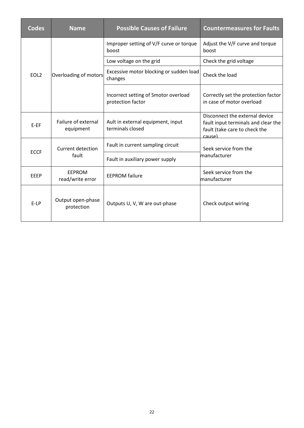| <b>Codes</b>     | <b>Name</b>                       | <b>Possible Causes of Failure</b>                         | <b>Countermeasures for Faults</b>                                                                                |
|------------------|-----------------------------------|-----------------------------------------------------------|------------------------------------------------------------------------------------------------------------------|
| EOL <sub>2</sub> | Overloading of motors             | Improper setting of V/F curve or torque<br>boost          | Adjust the V/F curve and torque<br>boost                                                                         |
|                  |                                   | Low voltage on the grid                                   | Check the grid voltage                                                                                           |
|                  |                                   | Excessive motor blocking or sudden load<br>changes        | Check the load                                                                                                   |
|                  |                                   | Incorrect setting of Smotor overload<br>protection factor | Correctly set the protection factor<br>in case of motor overload                                                 |
| $E-EF$           | Failure of external<br>equipment  | Ault in external equipment, input<br>terminals closed     | Disconnect the external device<br>fault input terminals and clear the<br>fault (take care to check the<br>cause) |
|                  | Current detection<br>fault        | Fault in current sampling circuit                         | Seek service from the                                                                                            |
| <b>ECCF</b>      |                                   | Fault in auxiliary power supply                           | manufacturer                                                                                                     |
| EEEP             | <b>EEPROM</b><br>read/write error | <b>EEPROM</b> failure                                     | Seek service from the<br>manufacturer                                                                            |
| $E-LP$           | Output open-phase<br>protection   | Outputs U, V, W are out-phase                             | Check output wiring                                                                                              |